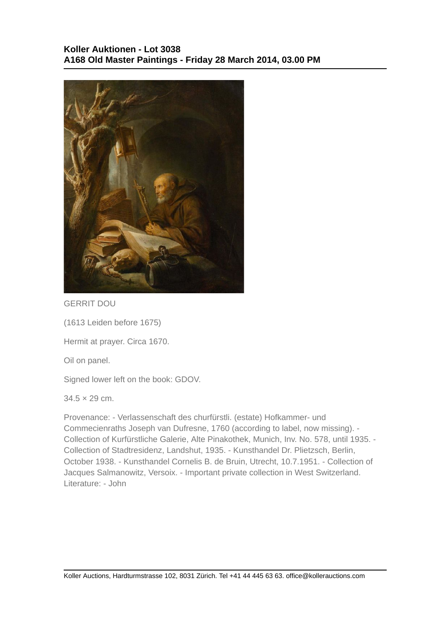

GERRIT DOU

(1613 Leiden before 1675)

Hermit at prayer. Circa 1670.

Oil on panel.

Signed lower left on the book: GDOV.

 $34.5 \times 29$  cm.

Provenance: - Verlassenschaft des churfürstli. (estate) Hofkammer- und Commecienraths Joseph van Dufresne, 1760 (according to label, now missing). - Collection of Kurfürstliche Galerie, Alte Pinakothek, Munich, Inv. No. 578, until 1935. - Collection of Stadtresidenz, Landshut, 1935. - Kunsthandel Dr. Plietzsch, Berlin, October 1938. - Kunsthandel Cornelis B. de Bruin, Utrecht, 10.7.1951. - Collection of Jacques Salmanowitz, Versoix. - Important private collection in West Switzerland. Literature: - John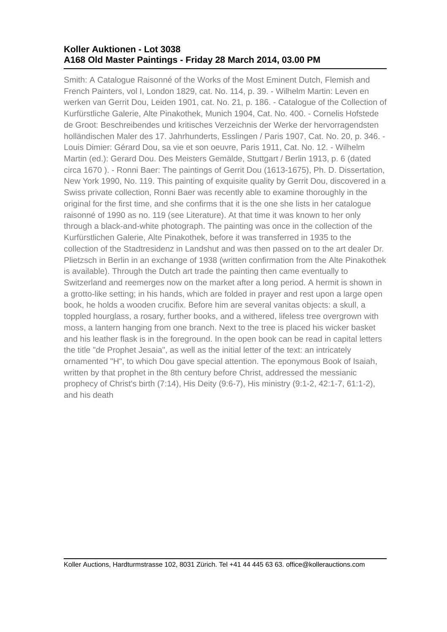## **Koller Auktionen - Lot 3038 A168 Old Master Paintings - Friday 28 March 2014, 03.00 PM**

Smith: A Catalogue Raisonné of the Works of the Most Eminent Dutch, Flemish and French Painters, vol I, London 1829, cat. No. 114, p. 39. - Wilhelm Martin: Leven en werken van Gerrit Dou, Leiden 1901, cat. No. 21, p. 186. - Catalogue of the Collection of Kurfürstliche Galerie, Alte Pinakothek, Munich 1904, Cat. No. 400. - Cornelis Hofstede de Groot: Beschreibendes und kritisches Verzeichnis der Werke der hervorragendsten holländischen Maler des 17. Jahrhunderts, Esslingen / Paris 1907, Cat. No. 20, p. 346. - Louis Dimier: Gérard Dou, sa vie et son oeuvre, Paris 1911, Cat. No. 12. - Wilhelm Martin (ed.): Gerard Dou. Des Meisters Gemälde, Stuttgart / Berlin 1913, p. 6 (dated circa 1670 ). - Ronni Baer: The paintings of Gerrit Dou (1613-1675), Ph. D. Dissertation, New York 1990, No. 119. This painting of exquisite quality by Gerrit Dou, discovered in a Swiss private collection, Ronni Baer was recently able to examine thoroughly in the original for the first time, and she confirms that it is the one she lists in her catalogue raisonné of 1990 as no. 119 (see Literature). At that time it was known to her only through a black-and-white photograph. The painting was once in the collection of the Kurfürstlichen Galerie, Alte Pinakothek, before it was transferred in 1935 to the collection of the Stadtresidenz in Landshut and was then passed on to the art dealer Dr. Plietzsch in Berlin in an exchange of 1938 (written confirmation from the Alte Pinakothek is available). Through the Dutch art trade the painting then came eventually to Switzerland and reemerges now on the market after a long period. A hermit is shown in a grotto-like setting; in his hands, which are folded in prayer and rest upon a large open book, he holds a wooden crucifix. Before him are several vanitas objects: a skull, a toppled hourglass, a rosary, further books, and a withered, lifeless tree overgrown with moss, a lantern hanging from one branch. Next to the tree is placed his wicker basket and his leather flask is in the foreground. In the open book can be read in capital letters the title "de Prophet Jesaia", as well as the initial letter of the text: an intricately ornamented "H", to which Dou gave special attention. The eponymous Book of Isaiah, written by that prophet in the 8th century before Christ, addressed the messianic prophecy of Christ's birth (7:14), His Deity (9:6-7), His ministry (9:1-2, 42:1-7, 61:1-2), and his death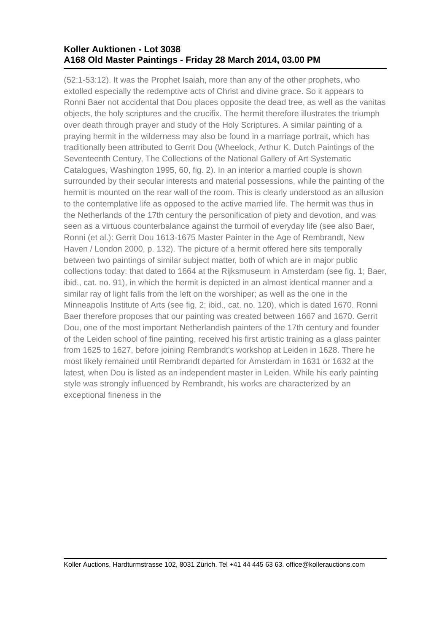## **Koller Auktionen - Lot 3038 A168 Old Master Paintings - Friday 28 March 2014, 03.00 PM**

(52:1-53:12). It was the Prophet Isaiah, more than any of the other prophets, who extolled especially the redemptive acts of Christ and divine grace. So it appears to Ronni Baer not accidental that Dou places opposite the dead tree, as well as the vanitas objects, the holy scriptures and the crucifix. The hermit therefore illustrates the triumph over death through prayer and study of the Holy Scriptures. A similar painting of a praying hermit in the wilderness may also be found in a marriage portrait, which has traditionally been attributed to Gerrit Dou (Wheelock, Arthur K. Dutch Paintings of the Seventeenth Century, The Collections of the National Gallery of Art Systematic Catalogues, Washington 1995, 60, fig. 2). In an interior a married couple is shown surrounded by their secular interests and material possessions, while the painting of the hermit is mounted on the rear wall of the room. This is clearly understood as an allusion to the contemplative life as opposed to the active married life. The hermit was thus in the Netherlands of the 17th century the personification of piety and devotion, and was seen as a virtuous counterbalance against the turmoil of everyday life (see also Baer, Ronni (et al.): Gerrit Dou 1613-1675 Master Painter in the Age of Rembrandt, New Haven / London 2000, p. 132). The picture of a hermit offered here sits temporally between two paintings of similar subject matter, both of which are in major public collections today: that dated to 1664 at the Rijksmuseum in Amsterdam (see fig. 1; Baer, ibid., cat. no. 91), in which the hermit is depicted in an almost identical manner and a similar ray of light falls from the left on the worshiper; as well as the one in the Minneapolis Institute of Arts (see fig, 2; ibid., cat. no. 120), which is dated 1670. Ronni Baer therefore proposes that our painting was created between 1667 and 1670. Gerrit Dou, one of the most important Netherlandish painters of the 17th century and founder of the Leiden school of fine painting, received his first artistic training as a glass painter from 1625 to 1627, before joining Rembrandt's workshop at Leiden in 1628. There he most likely remained until Rembrandt departed for Amsterdam in 1631 or 1632 at the latest, when Dou is listed as an independent master in Leiden. While his early painting style was strongly influenced by Rembrandt, his works are characterized by an exceptional fineness in the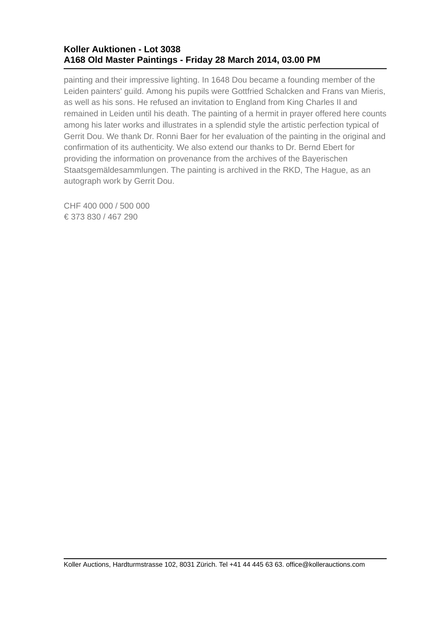## **Koller Auktionen - Lot 3038 A168 Old Master Paintings - Friday 28 March 2014, 03.00 PM**

painting and their impressive lighting. In 1648 Dou became a founding member of the Leiden painters' guild. Among his pupils were Gottfried Schalcken and Frans van Mieris, as well as his sons. He refused an invitation to England from King Charles II and remained in Leiden until his death. The painting of a hermit in prayer offered here counts among his later works and illustrates in a splendid style the artistic perfection typical of Gerrit Dou. We thank Dr. Ronni Baer for her evaluation of the painting in the original and confirmation of its authenticity. We also extend our thanks to Dr. Bernd Ebert for providing the information on provenance from the archives of the Bayerischen Staatsgemäldesammlungen. The painting is archived in the RKD, The Hague, as an autograph work by Gerrit Dou.

CHF 400 000 / 500 000 € 373 830 / 467 290